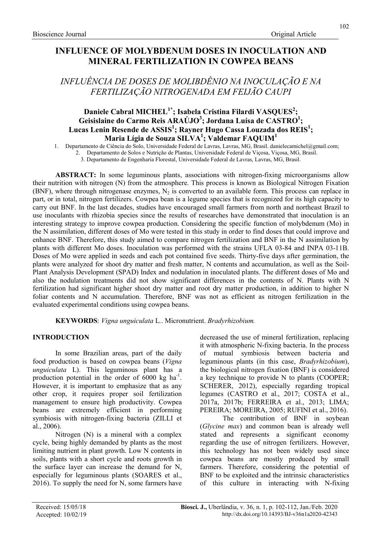# INFLUENCE OF MOLYBDENUM DOSES IN INOCULATION AND MINERAL FERTILIZATION IN COWPEA BEANS

# INFLUÊNCIA DE DOSES DE MOLIBDÊNIO NA INOCULAÇÃO E NA FERTILIZAÇÃO NITROGENADA EM FEIJÃO CAUPI

## Daniele Cabral MICHEL<sup>1\*</sup>; Isabela Cristina Filardi VASQUES<sup>2</sup>; Geisislaine do Carmo Reis ARAÚJO<sup>3</sup>; Jordana Luísa de CASTRO<sup>1</sup>; Lucas Lenin Resende de ASSIS<sup>1</sup>; Rayner Hugo Cassa Louzada dos REIS<sup>1</sup>; Maria Lígia de Souza SILVA<sup>1</sup>; Valdemar FAQUIM<sup>1</sup>

1. Departamento de Ciência do Solo, Universidade Federal de Lavras, Lavras, MG, Brasil. danielecamichel@gmail.com;

2. Departamento de Solos e Nutrição de Plantas, Universidade Federal de Viçosa, Viçosa, MG, Brasil.

3. Departamento de Engenharia Florestal, Universidade Federal de Lavras, Lavras, MG, Brasil.

ABSTRACT: In some leguminous plants, associations with nitrogen-fixing microorganisms allow their nutrition with nitrogen (N) from the atmosphere. This process is known as Biological Nitrogen Fixation (BNF), where through nitrogenase enzymes,  $N<sub>2</sub>$  is converted to an available form. This process can replace in part, or in total, nitrogen fertilizers. Cowpea bean is a legume species that is recognized for its high capacity to carry out BNF. In the last decades, studies have encouraged small farmers from north and northeast Brazil to use inoculants with rhizobia species since the results of researches have demonstrated that inoculation is an interesting strategy to improve cowpea production. Considering the specific function of molybdenum (Mo) in the N assimilation, different doses of Mo were tested in this study in order to find doses that could improve and enhance BNF. Therefore, this study aimed to compare nitrogen fertilization and BNF in the N assimilation by plants with different Mo doses. Inoculation was performed with the strains UFLA 03-84 and INPA 03-11B. Doses of Mo were applied in seeds and each pot contained five seeds. Thirty-five days after germination, the plants were analyzed for shoot dry matter and fresh matter, N contents and accumulation, as well as the Soil-Plant Analysis Development (SPAD) Index and nodulation in inoculated plants. The different doses of Mo and also the nodulation treatments did not show significant differences in the contents of N. Plants with N fertilization had significant higher shoot dry matter and root dry matter production, in addition to higher N foliar contents and N accumulation. Therefore, BNF was not as efficient as nitrogen fertilization in the evaluated experimental conditions using cowpea beans.

KEYWORDS: Vigna unguiculata L.. Micronutrient. Bradyrhizobium.

## INTRODUCTION

In some Brazilian areas, part of the daily food production is based on cowpea beans (Vigna unguiculata L). This leguminous plant has a production potential in the order of  $6000 \text{ kg}$  ha<sup>-1</sup>. However, it is important to emphasize that as any other crop, it requires proper soil fertilization management to ensure high productivity. Cowpea beans are extremely efficient in performing symbiosis with nitrogen-fixing bacteria (ZILLI et al., 2006).

Nitrogen (N) is a mineral with a complex cycle, being highly demanded by plants as the most limiting nutrient in plant growth. Low N contents in soils, plants with a short cycle and roots growth in the surface layer can increase the demand for N, especially for leguminous plants (SOARES et al., 2016). To supply the need for N, some farmers have decreased the use of mineral fertilization, replacing it with atmospheric N-fixing bacteria. In the process of mutual symbiosis between bacteria and leguminous plants (in this case, Bradyrhizobium), the biological nitrogen fixation (BNF) is considered a key technique to provide N to plants (COOPER; SCHERER, 2012), especially regarding tropical legumes (CASTRO et al., 2017; COSTA et al., 2017a, 2017b; FERREIRA et al., 2013; LIMA; PEREIRA; MOREIRA, 2005; RUFINI et al., 2016).

The contribution of BNF in soybean (Glycine max) and common bean is already well stated and represents a significant economy regarding the use of nitrogen fertilizers. However, this technology has not been widely used since cowpea beans are mostly produced by small farmers. Therefore, considering the potential of BNF to be exploited and the intrinsic characteristics of this culture in interacting with N-fixing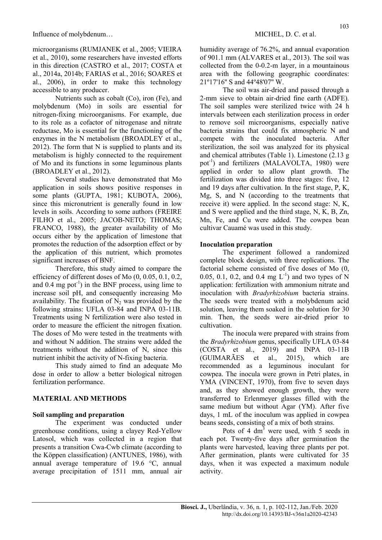microorganisms (RUMJANEK et al., 2005; VIEIRA et al., 2010), some researchers have invested efforts in this direction (CASTRO et al., 2017; COSTA et al., 2014a, 2014b; FARIAS et al., 2016; SOARES et al., 2006), in order to make this technology accessible to any producer.

Nutrients such as cobalt (Co), iron (Fe), and molybdenum (Mo) in soils are essential for nitrogen-fixing microorganisms. For example, due to its role as a cofactor of nitrogenase and nitrate reductase, Mo is essential for the functioning of the enzymes in the N metabolism (BROADLEY et al., 2012). The form that N is supplied to plants and its metabolism is highly connected to the requirement of Mo and its functions in some leguminous plants (BROADLEY et al., 2012).

Several studies have demonstrated that Mo application in soils shows positive responses in some plants (GUPTA, 1981; KUBOTA, 2006), since this micronutrient is generally found in low levels in soils. According to some authors (FREIRE FILHO et al., 2005; JACOB-NETO; THOMAS; FRANCO, 1988), the greater availability of Mo occurs either by the application of limestone that promotes the reduction of the adsorption effect or by the application of this nutrient, which promotes significant increases of BNF.

Therefore, this study aimed to compare the efficiency of different doses of Mo (0, 0.05, 0.1, 0.2, and 0.4 mg pot<sup>-1</sup>) in the BNF process, using lime to increase soil pH, and consequently increasing Mo availability. The fixation of  $N_2$  was provided by the following strains: UFLA 03-84 and INPA 03-11B. Treatments using N fertilization were also tested in order to measure the efficient the nitrogen fixation. The doses of Mo were tested in the treatments with and without N addition. The strains were added the treatments without the addition of N, since this nutrient inhibit the activity of N-fixing bacteria.

This study aimed to find an adequate Mo dose in order to allow a better biological nitrogen fertilization performance.

#### MATERIAL AND METHODS

#### Soil sampling and preparation

The experiment was conducted under greenhouse conditions, using a clayey Red-Yellow Latosol, which was collected in a region that presents a transition Cwa-Cwb climate (according to the Köppen classification) (ANTUNES, 1986), with annual average temperature of 19.6 °C, annual average precipitation of 1511 mm, annual air humidity average of 76.2%, and annual evaporation of 901.1 mm (ALVARES et al., 2013). The soil was collected from the 0-0.2-m layer, in a mountainous area with the following geographic coordinates: 21º17'16'' S and 44º48'07'' W.

The soil was air-dried and passed through a 2-mm sieve to obtain air-dried fine earth (ADFE). The soil samples were sterilized twice with 24 h intervals between each sterilization process in order to remove soil microorganisms, especially native bacteria strains that could fix atmospheric N and compete with the inoculated bacteria. After sterilization, the soil was analyzed for its physical and chemical attributes (Table 1). Limestone (2.13 g pot<sup>-1</sup>) and fertilizers (MALAVOLTA, 1980) were applied in order to allow plant growth. The fertilization was divided into three stages: five, 12 and 19 days after cultivation. In the first stage, P, K, Mg, S, and N (according to the treatments that receive it) were applied. In the second stage: N, K, and S were applied and the third stage, N, K, B, Zn, Mn, Fe, and Cu were added. The cowpea bean cultivar Cauamé was used in this study.

### Inoculation preparation

The experiment followed a randomized complete block design, with three replications. The factorial scheme consisted of five doses of Mo (0, 0.05, 0.1, 0.2, and 0.4 mg  $L^{-1}$ ) and two types of N application: fertilization with ammonium nitrate and inoculation with Bradyrhizobium bacteria strains. The seeds were treated with a molybdenum acid solution, leaving them soaked in the solution for 30 min. Then, the seeds were air-dried prior to cultivation.

The inocula were prepared with strains from the Bradyrhizobium genus, specifically UFLA 03-84 (COSTA et al., 2019) and INPA 03-11B (GUIMARÃES et al., 2015), which are recommended as a leguminous inoculant for cowpea. The inocula were grown in Petri plates, in YMA (VINCENT, 1970), from five to seven days and, as they showed enough growth, they were transferred to Erlenmeyer glasses filled with the same medium but without Agar (YM). After five days, 1 mL of the inoculum was applied in cowpea beans seeds, consisting of a mix of both strains.

Pots of 4  $\text{dm}^3$  were used, with 5 seeds in each pot. Twenty-five days after germination the plants were harvested, leaving three plants per pot. After germination, plants were cultivated for 35 days, when it was expected a maximum nodule activity.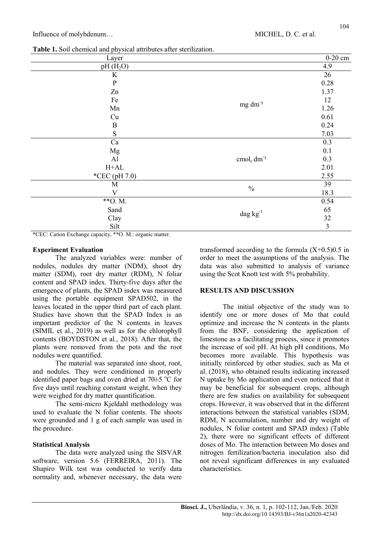Table 1. Soil chemical and physical attributes after sterilization.

| Layer                                                              |                      | $0-20$ cm      |
|--------------------------------------------------------------------|----------------------|----------------|
| pH(H <sub>2</sub> O)                                               |                      | 4.9            |
| $\rm K$                                                            |                      | 26             |
| ${\bf P}$                                                          |                      | 0.28           |
| Zn                                                                 |                      | 1.37           |
| Fe                                                                 | mg dm <sup>-3</sup>  | 12             |
| Mn                                                                 |                      | 1.26           |
| Cu                                                                 |                      | 0.61           |
| B                                                                  |                      | 0.24           |
| ${\bf S}$                                                          |                      | 7.03           |
| Ca                                                                 |                      | 0.3            |
| Mg                                                                 |                      | 0.1            |
| Al                                                                 | $cmolc dm-3$         | 0.3            |
| $H + AL$                                                           |                      | 2.01           |
| *CEC (pH 7.0)                                                      |                      | 2.55           |
| $\mathbf M$                                                        | $\frac{0}{0}$        | 39             |
| V                                                                  |                      | 18.3           |
| ** O.M.                                                            |                      | 0.54           |
| Sand                                                               | $\text{dag kg}^{-1}$ | 65             |
| Clay                                                               |                      | 32             |
| Silt                                                               |                      | $\overline{3}$ |
| $*CLC$ . Cetian Evaluation consists $*C$ . M $\cdot$ anomia matter |                      |                |

\*CEC: Cation Exchange capacity, \*\*O. M.: organic matter.

## Experiment Evaluation

The analyzed variables were: number of nodules, nodules dry matter (NDM), shoot dry matter (SDM), root dry matter (RDM), N foliar content and SPAD index. Thirty-five days after the emergence of plants, the SPAD index was measured using the portable equipment SPAD502, in the leaves located in the upper third part of each plant. Studies have shown that the SPAD Index is an important predictor of the N contents in leaves (SIMIL et al., 2019) as well as for the chlorophyll contents (BOYDSTON et al., 2018). After that, the plants were removed from the pots and the root nodules were quantified.

The material was separated into shoot, root, and nodules. They were conditioned in properly identified paper bags and oven dried at  $70\pm5$  °C for five days until reaching constant weight, when they were weighed for dry matter quantification.

The semi-micro Kjeldahl methodology was used to evaluate the N foliar contents. The shoots were grounded and 1 g of each sample was used in the procedure.

## Statistical Analysis

The data were analyzed using the SISVAR software, version 5.6 (FERREIRA, 2011). The Shapiro Wilk test was conducted to verify data normality and, whenever necessary, the data were transformed according to the formula  $(X+0.5)0.5$  in order to meet the assumptions of the analysis. The data was also submitted to analysis of variance using the Scot Knott test with 5% probability.

## RESULTS AND DISCUSSION

The initial objective of the study was to identify one or more doses of Mo that could optimize and increase the N contents in the plants from the BNF, considering the application of limestone as a facilitating process, since it promotes the increase of soil pH. At high pH conditions, Mo becomes more available. This hypothesis was initially reinforced by other studies, such as Ma et al. (2018), who obtained results indicating increased N uptake by Mo application and even noticed that it may be beneficial for subsequent crops, although there are few studies on availability for subsequent crops. However, it was observed that in the different interactions between the statistical variables (SDM, RDM, N accumulation, number and dry weight of nodules, N foliar content and SPAD index) (Table 2), there were no significant effects of different doses of Mo. The interaction between Mo doses and nitrogen fertilization/bacteria inoculation also did not reveal significant differences in any evaluated characteristics.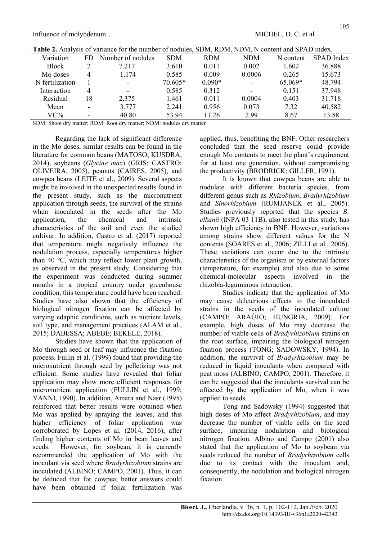| <b>1 aprovements</b> of variance for the humber of houties, ODIN, RDIN, POINT, POINTING BY AD HIGH AND |                          |            |            |                          |           |            |  |
|--------------------------------------------------------------------------------------------------------|--------------------------|------------|------------|--------------------------|-----------|------------|--|
| FD.                                                                                                    | Number of nodules        | <b>SDM</b> | <b>RDM</b> | NDM                      | N content | SPAD Index |  |
|                                                                                                        | 7.217                    | 3.610      | 0.011      | 0.002                    | 1.602     | 36.888     |  |
|                                                                                                        | 1.174                    | 0.585      | 0.009      | 0.0006                   | 0.265     | 15.673     |  |
|                                                                                                        | $\overline{\phantom{a}}$ | 70.605*    | $0.090*$   | $\overline{\phantom{a}}$ | 65.069*   | 48.794     |  |
|                                                                                                        | $\overline{\phantom{a}}$ | 0.585      | 0.312      | $\overline{\phantom{0}}$ | 0.151     | 37.948     |  |
| 18                                                                                                     | 2.375                    | 1.461      | 0.011      | 0.0004                   | 0.403     | 31.718     |  |
|                                                                                                        | 3.777                    | 2.241      | 0.956      | 0.073                    | 7.32      | 40.582     |  |
|                                                                                                        | 40.80                    | 53.94      | 11.26      | 2.99                     | 8.67      | 13.88      |  |
|                                                                                                        |                          |            |            |                          |           |            |  |

Table 2. Analysis of variance for the number of nodules, SDM, RDM, NDM, N content and SPAD index.

SDM: Shoot dry matter; RDM: Root dry matter; NDM: nodules dry matter

Regarding the lack of significant difference in the Mo doses, similar results can be found in the literature for common beans (MATOSO; KUSDRA, 2014), soybeans (Glycine max) (GRIS; CASTRO; OLIVEIRA, 2005), peanuts (CAIRES, 2005), and cowpea beans (LEITE et al., 2009). Several aspects might be involved in the unexpected results found in the present study, such as the micronutrient application through seeds, the survival of the strains when inoculated in the seeds after the Mo application, the chemical and intrinsic characteristics of the soil and even the studied cultivar. In addition, Castro et al. (2017) reported that temperature might negatively influence the nodulation process, especially temperatures higher than 40 °C, which may reflect lower plant growth, as observed in the present study. Considering that the experiment was conducted during summer months in a tropical country under greenhouse condition, this temperature could have been reached. Studies have also shown that the efficiency of biological nitrogen fixation can be affected by varying edaphic conditions, such as nutrient levels, soil type, and management practices (ALAM et al., 2015; DABESSA; ABEBE; BEKELE, 2018).

Studies have shown that the application of Mo through seed or leaf may influence the fixation process. Fullin et al. (1999) found that providing the micronutrient through seed by pelletizing was not efficient. Some studies have revealed that foliar application may show more efficient responses for micronutrient application (FULLIN et al., 1999; YANNI, 1990). In addition, Amara and Nasr (1995) reinforced that better results were obtained when Mo was applied by spraying the leaves, and this higher efficiency of foliar application was corroborated by Lopes et al. (2014, 2016), after finding higher contents of Mo in bean leaves and seeds. However, for soybean, it is currently recommended the application of Mo with the inoculant via seed where Bradyrhizobium strains are inoculated (ALBINO; CAMPO, 2001). Thus, it can be deduced that for cowpea, better answers could have been obtained if foliar fertilization was applied, thus, benefiting the BNF. Other researchers concluded that the seed reserve could provide enough Mo contents to meet the plant's requirement for at least one generation, without compromising the productivity (BRODRICK; GILLER, 1991).

It is known that cowpea beans are able to nodulate with different bacteria species, from different genus such as Rhizobium, Bradyrhizobium and Sinorhizobium (RUMJANEK et al., 2005). Studies previously reported that the species B. elkanii (INPA 03 11B), also tested in this study, has shown high efficiency in BNF. However, variations among strains show different values for the N contents (SOARES et al., 2006; ZILLI et al., 2006). These variations can occur due to the intrinsic characteristics of the organism or by external factors (temperature, for example) and also due to some chemical-molecular aspects involved in the rhizobia-leguminous interaction.

Studies indicate that the application of Mo may cause deleterious effects to the inoculated strains in the seeds of the inoculated culture (CAMPO; ARAÚJO; HUNGRIA, 2009). For example, high doses of Mo may decrease the number of viable cells of Bradyrhizobium strains on the root surface, impairing the biological nitrogen fixation process (TONG; SADOWSKY, 1994). In addition, the survival of Bradyrhizobium may be reduced in liquid inoculants when compared with peat moss (ALBINO; CAMPO, 2001). Therefore, it can be suggested that the inoculants survival can be affected by the application of Mo, when it was applied to seeds.

Tong and Sadowsky (1994) suggested that high doses of Mo affect Bradyrhizobium, and may decrease the number of viable cells on the seed surface, impairing nodulation and biological nitrogen fixation. Albino and Campo (2001) also stated that the application of Mo to soybean via seeds reduced the number of Bradyrhizobium cells due to its contact with the inoculant and, consequently, the nodulation and biological nitrogen fixation.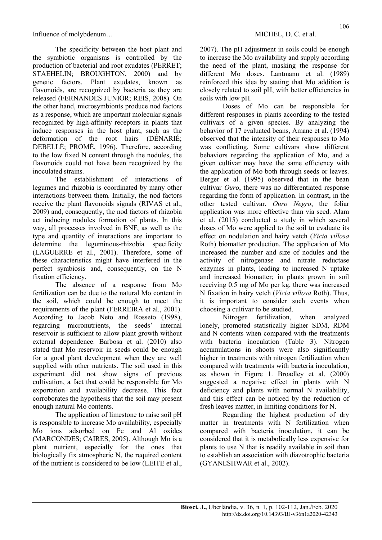The specificity between the host plant and the symbiotic organisms is controlled by the production of bacterial and root exudates (PERRET; STAEHELIN; BROUGHTON, 2000) and by genetic factors. Plant exudates, known as flavonoids, are recognized by bacteria as they are released (FERNANDES JUNIOR; REIS, 2008). On the other hand, microsymbionts produce nod factors as a response, which are important molecular signals recognized by high-affinity receptors in plants that induce responses in the host plant, such as the deformation of the root hairs (DÉNARIÉ; DEBELLÉ; PROMÉ, 1996). Therefore, according to the low fixed N content through the nodules, the flavonoids could not have been recognized by the inoculated strains.

The establishment of interactions of legumes and rhizobia is coordinated by many other interactions between them. Initially, the nod factors receive the plant flavonoids signals (RIVAS et al., 2009) and, consequently, the nod factors of rhizobia act inducing nodules formation of plants. In this way, all processes involved in BNF, as well as the type and quantity of interactions are important to determine the leguminous-rhizobia specificity (LAGUERRE et al., 2001). Therefore, some of these characteristics might have interfered in the perfect symbiosis and, consequently, on the N fixation efficiency.

The absence of a response from Mo fertilization can be due to the natural Mo content in the soil, which could be enough to meet the requirements of the plant (FERREIRA et al., 2001). According to Jacob Neto and Rosseto (1998), regarding micronutrients, the seeds' internal reservoir is sufficient to allow plant growth without external dependence. Barbosa et al. (2010) also stated that Mo reservoir in seeds could be enough for a good plant development when they are well supplied with other nutrients. The soil used in this experiment did not show signs of previous cultivation, a fact that could be responsible for Mo exportation and availability decrease. This fact corroborates the hypothesis that the soil may present enough natural Mo contents.

The application of limestone to raise soil pH is responsible to increase Mo availability, especially Mo ions adsorbed on Fe and Al oxides (MARCONDES; CAIRES, 2005). Although Mo is a plant nutrient, especially for the ones that biologically fix atmospheric N, the required content of the nutrient is considered to be low (LEITE et al., 2007). The pH adjustment in soils could be enough to increase the Mo availability and supply according the need of the plant, masking the response for different Mo doses. Lantmann et al. (1989) reinforced this idea by stating that Mo addition is closely related to soil pH, with better efficiencies in soils with low pH.

Doses of Mo can be responsible for different responses in plants according to the tested cultivars of a given species. By analyzing the behavior of 17 evaluated beans, Amane et al. (1994) observed that the intensity of their responses to Mo was conflicting. Some cultivars show different behaviors regarding the application of Mo, and a given cultivar may have the same efficiency with the application of Mo both through seeds or leaves. Berger et al. (1995) observed that in the bean cultivar Ouro, there was no differentiated response regarding the form of application. In contrast, in the other tested cultivar, Ouro Negro, the foliar application was more effective than via seed. Alam et al. (2015) conducted a study in which several doses of Mo were applied to the soil to evaluate its effect on nodulation and hairy vetch (Vicia villosa Roth) biomatter production. The application of Mo increased the number and size of nodules and the activity of nitrogenase and nitrate reductase enzymes in plants, leading to increased N uptake and increased biomatter; in plants grown in soil receiving 0.5 mg of Mo per kg, there was increased N fixation in hairy vetch (Vicia villosa Roth). Thus, it is important to consider such events when choosing a cultivar to be studied.

Nitrogen fertilization, when analyzed lonely, promoted statistically higher SDM, RDM and N contents when compared with the treatments with bacteria inoculation (Table 3). Nitrogen accumulations in shoots were also significantly higher in treatments with nitrogen fertilization when compared with treatments with bacteria inoculation, as shown in Figure 1. Broadley et al. (2000) suggested a negative effect in plants with N deficiency and plants with normal N availability, and this effect can be noticed by the reduction of fresh leaves matter, in limiting conditions for N.

Regarding the highest production of dry matter in treatments with N fertilization when compared with bacteria inoculation, it can be considered that it is metabolically less expensive for plants to use N that is readily available in soil than to establish an association with diazotrophic bacteria (GYANESHWAR et al., 2002).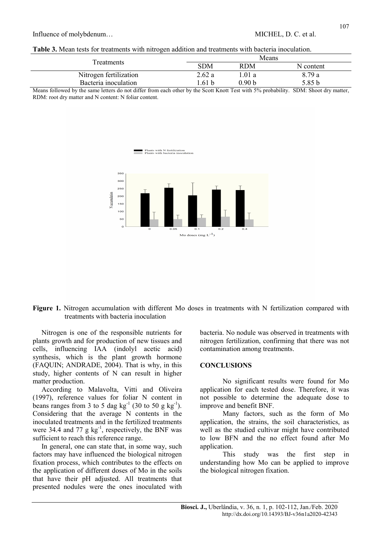Table 3. Mean tests for treatments with nitrogen addition and treatments with bacteria inoculation.

Plants with N fertilization<br>Plants with bacteria inoculation

|                        | Means      |            |           |  |
|------------------------|------------|------------|-----------|--|
| Freatments             | <b>SDM</b> | <b>RDM</b> | N content |  |
| Nitrogen fertilization | 2.62a      | 1.01 a     | 8.79a     |  |
| Bacteria inoculation   | .61h       | 0.90 h     | 5.85 b    |  |

Means followed by the same letters do not differ from each other by the Scott Knott Test with 5% probability. SDM: Shoot dry matter, RDM: root dry matter and N content: N foliar content.



Figure 1. Nitrogen accumulation with different Mo doses in treatments with N fertilization compared with treatments with bacteria inoculation

Nitrogen is one of the responsible nutrients for plants growth and for production of new tissues and cells, influencing IAA (indolyl acetic acid) synthesis, which is the plant growth hormone (FAQUIN; ANDRADE, 2004). That is why, in this study, higher contents of N can result in higher matter production.

According to Malavolta, Vitti and Oliveira (1997), reference values for foliar N content in beans ranges from 3 to 5 dag  $kg^{-1}$  (30 to 50 g  $kg^{-1}$ ). Considering that the average N contents in the inoculated treatments and in the fertilized treatments were 34.4 and 77 g  $kg^{-1}$ , respectively, the BNF was sufficient to reach this reference range.

In general, one can state that, in some way, such factors may have influenced the biological nitrogen fixation process, which contributes to the effects on the application of different doses of Mo in the soils that have their pH adjusted. All treatments that presented nodules were the ones inoculated with bacteria. No nodule was observed in treatments with nitrogen fertilization, confirming that there was not contamination among treatments.

#### **CONCLUSIONS**

No significant results were found for Mo application for each tested dose. Therefore, it was not possible to determine the adequate dose to improve and benefit BNF.

Many factors, such as the form of Mo application, the strains, the soil characteristics, as well as the studied cultivar might have contributed to low BFN and the no effect found after Mo application.

This study was the first step in understanding how Mo can be applied to improve the biological nitrogen fixation.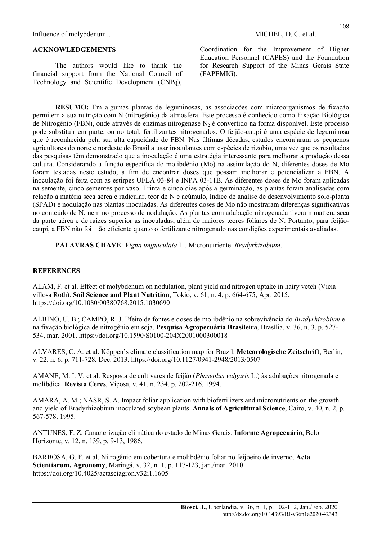### ACKNOWLEDGEMENTS

The authors would like to thank the financial support from the National Council of Technology and Scientific Development (CNPq),

Coordination for the Improvement of Higher Education Personnel (CAPES) and the Foundation for Research Support of the Minas Gerais State (FAPEMIG).

RESUMO: Em algumas plantas de leguminosas, as associações com microorganismos de fixação permitem a sua nutrição com N (nitrogênio) da atmosfera. Este processo é conhecido como Fixação Biológica de Nitrogênio (FBN), onde através de enzimas nitrogenase  $N_2$  é convertido na forma disponível. Este processo pode substituir em parte, ou no total, fertilizantes nitrogenados. O feijão-caupi é uma espécie de leguminosa que é reconhecida pela sua alta capacidade de FBN. Nas últimas décadas, estudos encorajaram os pequenos agricultores do norte e nordeste do Brasil a usar inoculantes com espécies de rizobio, uma vez que os resultados das pesquisas têm demonstrado que a inoculação é uma estratégia interessante para melhorar a produção dessa cultura. Considerando a função específica do molibdênio (Mo) na assimilação do N, diferentes doses de Mo foram testadas neste estudo, a fim de encontrar doses que possam melhorar e potencializar a FBN. A inoculação foi feita com as estirpes UFLA 03-84 e INPA 03-11B. As diferentes doses de Mo foram aplicadas na semente, cinco sementes por vaso. Trinta e cinco dias após a germinação, as plantas foram analisadas com relação à matéria seca aérea e radicular, teor de N e acúmulo, índice de análise de desenvolvimento solo-planta (SPAD) e nodulação nas plantas inoculadas. As diferentes doses de Mo não mostraram diferenças significativas no conteúdo de N, nem no processo de nodulação. As plantas com adubação nitrogenada tiveram mattera seca da parte aérea e de raízes superior as inoculadas, além de maiores teores foliares de N. Portanto, para feijãocaupi, a FBN não foi tão eficiente quanto o fertilizante nitrogenado nas condições experimentais avaliadas.

PALAVRAS CHAVE: Vigna unguiculata L.. Micronutriente. Bradyrhizobium.

#### **REFERENCES**

ALAM, F. et al. Effect of molybdenum on nodulation, plant yield and nitrogen uptake in hairy vetch (Vicia villosa Roth). Soil Science and Plant Nutrition, Tokio, v. 61, n. 4, p. 664-675, Apr. 2015. https://doi.org/10.1080/00380768.2015.1030690

ALBINO, U. B.; CAMPO, R. J. Efeito de fontes e doses de molibdênio na sobrevivência do Bradyrhizobium e na fixação biológica de nitrogênio em soja. Pesquisa Agropecuária Brasileira, Brasília, v. 36, n. 3, p. 527- 534, mar. 2001. https://doi.org/10.1590/S0100-204X2001000300018

ALVARES, C. A. et al. Köppen's climate classification map for Brazil. Meteorologische Zeitschrift, Berlin, v. 22, n. 6, p. 711-728, Dec. 2013. https://doi.org/10.1127/0941-2948/2013/0507

AMANE, M. I. V. et al. Resposta de cultivares de feijão (Phaseolus vulgaris L.) às adubações nitrogenada e molíbdica. Revista Ceres, Viçosa, v. 41, n. 234, p. 202-216, 1994.

AMARA, A. M.; NASR, S. A. Impact foliar application with biofertilizers and micronutrients on the growth and yield of Bradyrhizobium inoculated soybean plants. Annals of Agricultural Science, Cairo, v. 40, n. 2, p. 567-578, 1995.

ANTUNES, F. Z. Caracterização climática do estado de Minas Gerais. Informe Agropecuário, Belo Horizonte, v. 12, n. 139, p. 9-13, 1986.

BARBOSA, G. F. et al. Nitrogênio em cobertura e molibdênio foliar no feijoeiro de inverno. Acta Scientiarum. Agronomy, Maringá, v. 32, n. 1, p. 117-123, jan./mar. 2010. https://doi.org/10.4025/actasciagron.v32i1.1605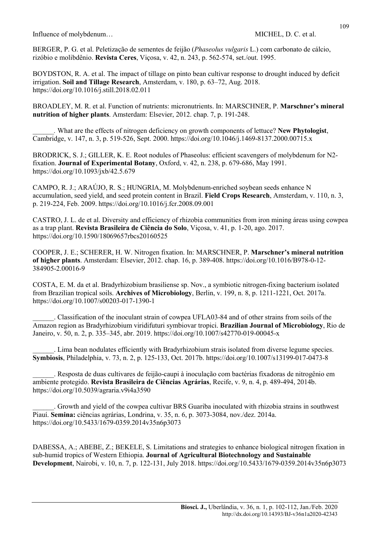BERGER, P. G. et al. Peletização de sementes de feijão (Phaseolus vulgaris L.) com carbonato de cálcio, rizóbio e molibdênio. Revista Ceres, Viçosa, v. 42, n. 243, p. 562-574, set./out. 1995.

BOYDSTON, R. A. et al. The impact of tillage on pinto bean cultivar response to drought induced by deficit irrigation. Soil and Tillage Research, Amsterdam, v. 180, p. 63–72, Aug. 2018. https://doi.org/10.1016/j.still.2018.02.011

BROADLEY, M. R. et al. Function of nutrients: micronutrients. In: MARSCHNER, P. Marschner's mineral nutrition of higher plants. Amsterdam: Elsevier, 2012. chap. 7, p. 191-248.

What are the effects of nitrogen deficiency on growth components of lettuce? New Phytologist, Cambridge, v. 147, n. 3, p. 519-526, Sept. 2000. https://doi.org/10.1046/j.1469-8137.2000.00715.x

BRODRICK, S. J.; GILLER, K. E. Root nodules of Phaseolus: efficient scavengers of molybdenum for N2 fixation. Journal of Experimental Botany, Oxford, v. 42, n. 238, p. 679-686, May 1991. https://doi.org/10.1093/jxb/42.5.679

CAMPO, R. J.; ARAÚJO, R. S.; HUNGRIA, M. Molybdenum-enriched soybean seeds enhance N accumulation, seed yield, and seed protein content in Brazil. Field Crops Research, Amsterdam, v. 110, n. 3, p. 219-224, Feb. 2009. https://doi.org/10.1016/j.fcr.2008.09.001

CASTRO, J. L. de et al. Diversity and efficiency of rhizobia communities from iron mining áreas using cowpea as a trap plant. Revista Brasileira de Ciência do Solo, Viçosa, v. 41, p. 1-20, ago. 2017. https://doi.org/10.1590/18069657rbcs20160525

COOPER, J. E.; SCHERER, H. W. Nitrogen fixation. In: MARSCHNER, P. Marschner's mineral nutrition of higher plants. Amsterdam: Elsevier, 2012. chap. 16, p. 389-408. https://doi.org/10.1016/B978-0-12- 384905-2.00016-9

COSTA, E. M. da et al. Bradyrhizobium brasiliense sp. Nov., a symbiotic nitrogen-fixing bacterium isolated from Brazilian tropical soils. Archives of Microbiology, Berlin, v. 199, n. 8, p. 1211-1221, Oct. 2017a. https://doi.org/10.1007/s00203-017-1390-1

\_\_\_\_\_\_. Classification of the inoculant strain of cowpea UFLA03-84 and of other strains from soils of the Amazon region as Bradyrhizobium viridifuturi symbiovar tropici. Brazilian Journal of Microbiology, Rio de Janeiro, v. 50, n. 2, p. 335–345, abr. 2019. https://doi.org/10.1007/s42770-019-00045-x

. Lima bean nodulates efficiently with Bradyrhizobium strais isolated from diverse legume species. Symbiosis, Philadelphia, v. 73, n. 2, p. 125-133, Oct. 2017b. https://doi.org/10.1007/s13199-017-0473-8

\_\_\_\_\_\_. Resposta de duas cultivares de feijão-caupi à inoculação com bactérias fixadoras de nitrogênio em ambiente protegido. Revista Brasileira de Ciências Agrárias, Recife, v. 9, n. 4, p. 489-494, 2014b. https://doi.org/10.5039/agraria.v9i4a3590

\_\_\_\_\_\_. Growth and yield of the cowpea cultivar BRS Guariba inoculated with rhizobia strains in southwest Piauí. Semina: ciências agrárias, Londrina, v. 35, n. 6, p. 3073-3084, nov./dez. 2014a. https://doi.org/10.5433/1679-0359.2014v35n6p3073

DABESSA, A.; ABEBE, Z.; BEKELE, S. Limitations and strategies to enhance biological nitrogen fixation in sub-humid tropics of Western Ethiopia. Journal of Agricultural Biotechnology and Sustainable Development, Nairobi, v. 10, n. 7, p. 122-131, July 2018. https://doi.org/10.5433/1679-0359.2014v35n6p3073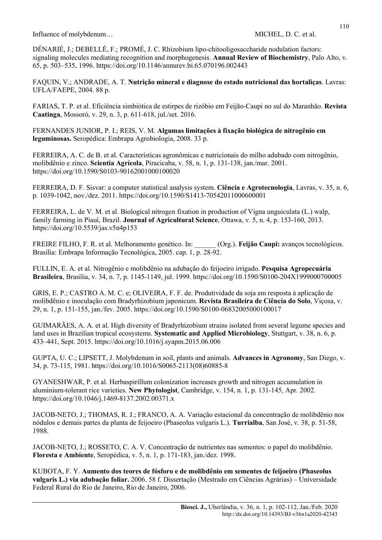DÉNARIÉ, J.; DEBELLÉ, F.; PROMÉ, J. C. Rhizobium lipo-chitooligosaccharide nodulation factors: signaling molecules mediating recognition and morphogenesis. Annual Review of Biochemistry, Palo Alto, v. 65, p. 503–535, 1996. https://doi.org/10.1146/annurev.bi.65.070196.002443

FAQUIN, V.; ANDRADE, A. T. Nutrição mineral e diagnose do estado nutricional das hortaliças. Lavras: UFLA/FAEPE, 2004. 88 p.

FARIAS, T. P. et al. Eficiência simbiótica de estirpes de rizóbio em Feijão-Caupi no sul do Maranhão. Revista Caatinga, Mossoró, v. 29, n. 3, p. 611-618, jul./set. 2016.

FERNANDES JUNIOR, P. I.; REIS, V. M. Algumas limitações à fixação biológica de nitrogênio em leguminosas. Seropédica: Embrapa Agrobiologia, 2008. 33 p.

FERREIRA, A. C. de B. et al. Características agronômicas e nutricionais do milho adubado com nitrogênio, molibdênio e zinco. Scientia Agrícola, Piracicaba, v. 58, n. 1, p. 131-138, jan./mar. 2001. https://doi.org/10.1590/S0103-90162001000100020

FERREIRA, D. F. Sisvar: a computer statistical analysis system. Ciência e Agrotecnologia, Lavras, v. 35, n. 6, p. 1039-1042, nov./dez. 2011. https://doi.org/10.1590/S1413-70542011000600001

FERREIRA, L. de V. M. et al. Biological nitrogen fixation in production of Vigna unguiculata (L.) walp, family farming in Piauí, Brazil. Journal of Agricultural Science, Ottawa, v. 5, n. 4, p. 153-160, 2013. https://doi.org/10.5539/jas.v5n4p153

FREIRE FILHO, F. R. et al. Melhoramento genético. In: (Org.). Feijão Caupi: avanços tecnológicos. Brasília: Embrapa Informação Tecnológica, 2005. cap. 1, p. 28-92.

FULLIN, E. A. et al. Nitrogênio e molibdênio na adubação do feijoeiro irrigado. Pesquisa Agropecuária Brasileira, Brasília, v. 34, n. 7, p. 1145-1149, jul. 1999. https://doi.org/10.1590/S0100-204X1999000700005

GRIS, E. P.; CASTRO A. M. C. e; OLIVEIRA, F. F. de. Produtividade da soja em resposta à aplicação de molibdênio e inoculação com Bradyrhizobium japonicum. Revista Brasileira de Ciência do Solo, Viçosa, v. 29, n. 1, p. 151-155, jan./fev. 2005. https://doi.org/10.1590/S0100-06832005000100017

GUIMARÃES, A. A. et al. High diversity of Bradyrhizobium strains isolated from several legume species and land uses in Brazilian tropical ecosystems. Systematic and Applied Microbiology, Stuttgart, v. 38, n. 6, p. 433–441, Sept. 2015. https://doi.org/10.1016/j.syapm.2015.06.006

GUPTA, U. C.; LIPSETT, J. Molybdenum in soil, plants and animals. Advances in Agronomy, San Diego, v. 34, p. 73-115, 1981. https://doi.org/10.1016/S0065-2113(08)60885-8

GYANESHWAR, P. et al. Herbaspirillum colonization increases growth and nitrogen accumulation in aluminium-tolerant rice varieties. New Phytologist, Cambridge, v. 154, n. 1, p. 131-145, Apr. 2002. https://doi.org/10.1046/j.1469-8137.2002.00371.x

JACOB-NETO, J.; THOMAS, R. J.; FRANCO, A. A. Variação estacional da concentração de molibdênio nos nódulos e demais partes da planta de feijoeiro (Phaseolus vulgaris L.). Turrialba, San José, v. 38, p. 51-58, 1988.

JACOB-NETO, J.; ROSSETO, C. A. V. Concentração de nutrientes nas sementes: o papel do molibdênio. Floresta e Ambiente, Seropédica, v. 5, n. 1, p. 171-183, jan./dez. 1998.

KUBOTA, F. Y. Aumento dos teores de fósforo e de molibdênio em sementes de feijoeiro (Phaseolus vulgaris L.) via adubação foliar. 2006. 58 f. Dissertação (Mestrado em Ciências Agrárias) – Universidade Federal Rural do Rio de Janeiro, Rio de Janeiro, 2006.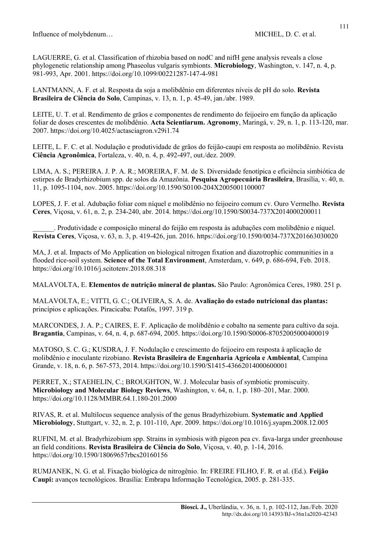LAGUERRE, G. et al. Classification of rhizobia based on nodC and nifH gene analysis reveals a close phylogenetic relationship among Phaseolus vulgaris symbionts. Microbiology, Washington, v. 147, n. 4, p. 981-993, Apr. 2001. https://doi.org/10.1099/00221287-147-4-981

LANTMANN, A. F. et al. Resposta da soja a molibdênio em diferentes níveis de pH do solo. Revista Brasileira de Ciência do Solo, Campinas, v. 13, n. 1, p. 45-49, jan./abr. 1989.

LEITE, U. T. et al. Rendimento de grãos e componentes de rendimento do feijoeiro em função da aplicação foliar de doses crescentes de molibdênio. Acta Scientiarum. Agronomy, Maringá, v. 29, n. 1, p. 113-120, mar. 2007. https://doi.org/10.4025/actasciagron.v29i1.74

LEITE, L. F. C. et al. Nodulação e produtividade de grãos do feijão-caupi em resposta ao molibdênio. Revista Ciência Agronômica, Fortaleza, v. 40, n. 4, p. 492-497, out./dez. 2009.

LIMA, A. S.; PEREIRA. J. P. A. R.; MOREIRA, F. M. de S. Diversidade fenotípica e eficiência simbiótica de estirpes de Bradyrhizobium spp. de solos da Amazônia. Pesquisa Agropecuária Brasileira, Brasília, v. 40, n. 11, p. 1095-1104, nov. 2005. https://doi.org/10.1590/S0100-204X2005001100007

LOPES, J. F. et al. Adubação foliar com níquel e molibdênio no feijoeiro comum cv. Ouro Vermelho. Revista Ceres, Viçosa, v. 61, n. 2, p. 234-240, abr. 2014. https://doi.org/10.1590/S0034-737X2014000200011

\_\_\_\_\_\_. Produtividade e composição mineral do feijão em resposta às adubações com molibdênio e níquel. Revista Ceres, Viçosa, v. 63, n. 3, p. 419-426, jun. 2016. https://doi.org/10.1590/0034-737X201663030020

MA, J. et al. Impacts of Mo Application on biological nitrogen fixation and diazotrophic communities in a flooded rice-soil system. Science of the Total Environment, Amsterdam, v. 649, p. 686-694, Feb. 2018. https://doi.org/10.1016/j.scitotenv.2018.08.318

MALAVOLTA, E. Elementos de nutrição mineral de plantas. São Paulo: Agronômica Ceres, 1980. 251 p.

MALAVOLTA, E.; VITTI, G. C.; OLIVEIRA, S. A. de. Avaliação do estado nutricional das plantas: princípios e aplicações. Piracicaba: Potafós, 1997. 319 p.

MARCONDES, J. A. P.; CAIRES, E. F. Aplicação de molibdênio e cobalto na semente para cultivo da soja. Bragantia, Campinas, v. 64, n. 4, p. 687-694, 2005. https://doi.org/10.1590/S0006-87052005000400019

MATOSO, S. C. G.; KUSDRA, J. F. Nodulação e crescimento do feijoeiro em resposta à aplicação de molibdênio e inoculante rizobiano. Revista Brasileira de Engenharia Agrícola e Ambiental, Campina Grande, v. 18, n. 6, p. 567-573, 2014. https://doi.org/10.1590/S1415-43662014000600001

PERRET, X.; STAEHELIN, C.; BROUGHTON, W. J. Molecular basis of symbiotic promiscuity. Microbiology and Molecular Biology Reviews, Washington, v. 64, n. 1, p. 180–201, Mar. 2000. https://doi.org/10.1128/MMBR.64.1.180-201.2000

RIVAS, R. et al. Multilocus sequence analysis of the genus Bradyrhizobium. Systematic and Applied Microbiology, Stuttgart, v. 32, n. 2, p. 101-110, Apr. 2009. https://doi.org/10.1016/j.syapm.2008.12.005

RUFINI, M. et al. Bradyrhizobium spp. Strains in symbiosis with pigeon pea cv. fava-larga under greenhouse an field conditions. Revista Brasileira de Ciência do Solo, Viçosa, v. 40, p. 1-14, 2016. https://doi.org/10.1590/18069657rbcs20160156

RUMJANEK, N. G. et al. Fixação biológica de nitrogênio. In: FREIRE FILHO, F. R. et al. (Ed.). Feijão Caupi: avanços tecnológicos. Brasília: Embrapa Informação Tecnológica, 2005. p. 281-335.